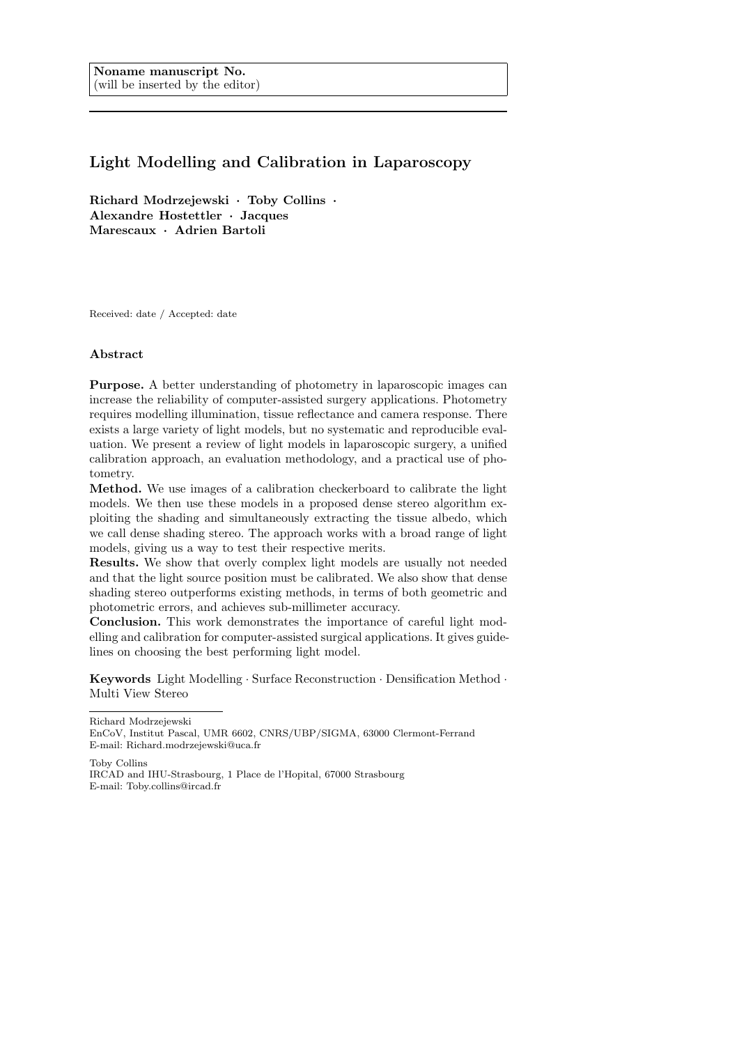# Light Modelling and Calibration in Laparoscopy

Richard Modrzejewski · Toby Collins · Alexandre Hostettler · Jacques Marescaux · Adrien Bartoli

Received: date / Accepted: date

## Abstract

Purpose. A better understanding of photometry in laparoscopic images can increase the reliability of computer-assisted surgery applications. Photometry requires modelling illumination, tissue reflectance and camera response. There exists a large variety of light models, but no systematic and reproducible evaluation. We present a review of light models in laparoscopic surgery, a unified calibration approach, an evaluation methodology, and a practical use of photometry.

Method. We use images of a calibration checkerboard to calibrate the light models. We then use these models in a proposed dense stereo algorithm exploiting the shading and simultaneously extracting the tissue albedo, which we call dense shading stereo. The approach works with a broad range of light models, giving us a way to test their respective merits.

Results. We show that overly complex light models are usually not needed and that the light source position must be calibrated. We also show that dense shading stereo outperforms existing methods, in terms of both geometric and photometric errors, and achieves sub-millimeter accuracy.

Conclusion. This work demonstrates the importance of careful light modelling and calibration for computer-assisted surgical applications. It gives guidelines on choosing the best performing light model.

Keywords Light Modelling · Surface Reconstruction · Densification Method · Multi View Stereo

Richard Modrzejewski

Toby Collins

IRCAD and IHU-Strasbourg, 1 Place de l'Hopital, 67000 Strasbourg E-mail: Toby.collins@ircad.fr

EnCoV, Institut Pascal, UMR 6602, CNRS/UBP/SIGMA, 63000 Clermont-Ferrand E-mail: Richard.modrzejewski@uca.fr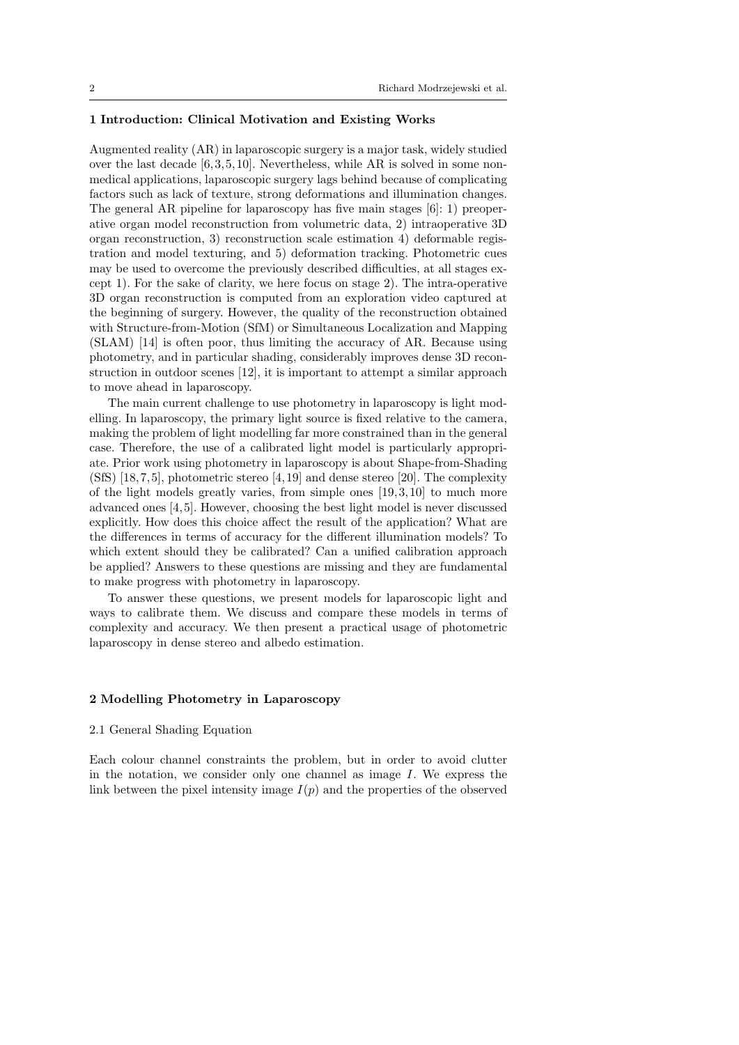## 1 Introduction: Clinical Motivation and Existing Works

Augmented reality (AR) in laparoscopic surgery is a major task, widely studied over the last decade  $[6, 3, 5, 10]$ . Nevertheless, while AR is solved in some nonmedical applications, laparoscopic surgery lags behind because of complicating factors such as lack of texture, strong deformations and illumination changes. The general AR pipeline for laparoscopy has five main stages [6]: 1) preoperative organ model reconstruction from volumetric data, 2) intraoperative 3D organ reconstruction, 3) reconstruction scale estimation 4) deformable registration and model texturing, and 5) deformation tracking. Photometric cues may be used to overcome the previously described difficulties, at all stages except 1). For the sake of clarity, we here focus on stage 2). The intra-operative 3D organ reconstruction is computed from an exploration video captured at the beginning of surgery. However, the quality of the reconstruction obtained with Structure-from-Motion (SfM) or Simultaneous Localization and Mapping (SLAM) [14] is often poor, thus limiting the accuracy of AR. Because using photometry, and in particular shading, considerably improves dense 3D reconstruction in outdoor scenes [12], it is important to attempt a similar approach to move ahead in laparoscopy.

The main current challenge to use photometry in laparoscopy is light modelling. In laparoscopy, the primary light source is fixed relative to the camera, making the problem of light modelling far more constrained than in the general case. Therefore, the use of a calibrated light model is particularly appropriate. Prior work using photometry in laparoscopy is about Shape-from-Shading  $(SfS)$  [18, 7, 5], photometric stereo [4, 19] and dense stereo [20]. The complexity of the light models greatly varies, from simple ones  $[19, 3, 10]$  to much more advanced ones [4, 5]. However, choosing the best light model is never discussed explicitly. How does this choice affect the result of the application? What are the differences in terms of accuracy for the different illumination models? To which extent should they be calibrated? Can a unified calibration approach be applied? Answers to these questions are missing and they are fundamental to make progress with photometry in laparoscopy.

To answer these questions, we present models for laparoscopic light and ways to calibrate them. We discuss and compare these models in terms of complexity and accuracy. We then present a practical usage of photometric laparoscopy in dense stereo and albedo estimation.

### 2 Modelling Photometry in Laparoscopy

## 2.1 General Shading Equation

Each colour channel constraints the problem, but in order to avoid clutter in the notation, we consider only one channel as image  $I$ . We express the link between the pixel intensity image  $I(p)$  and the properties of the observed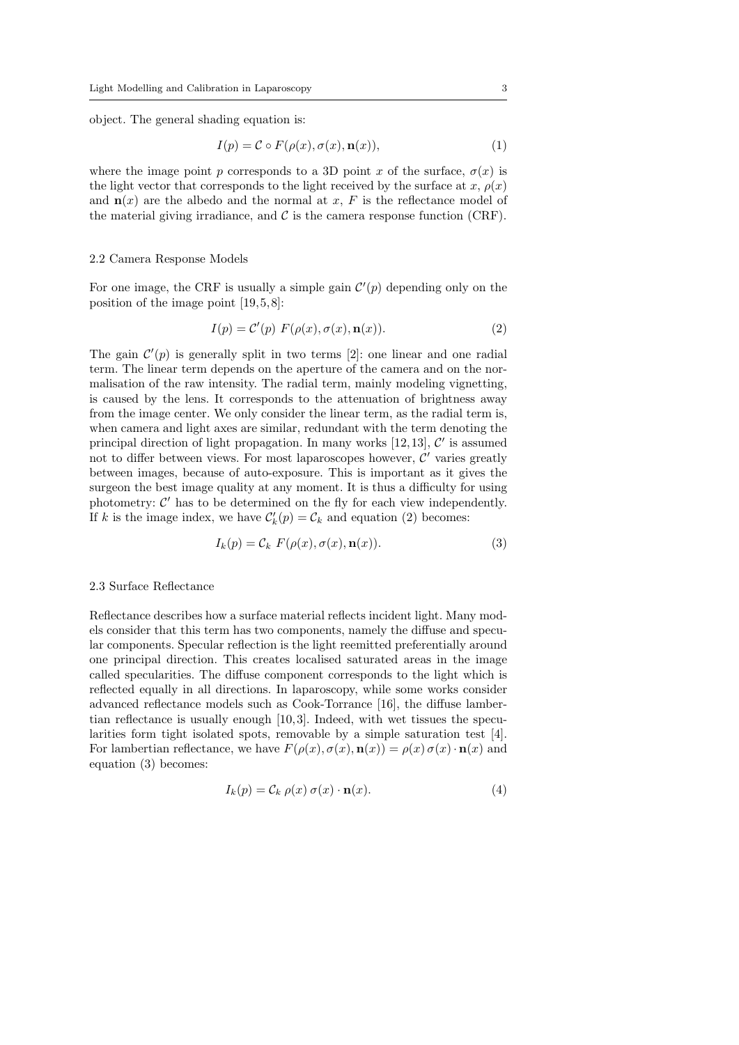object. The general shading equation is:

$$
I(p) = C \circ F(\rho(x), \sigma(x), \mathbf{n}(x)),\tag{1}
$$

where the image point p corresponds to a 3D point x of the surface,  $\sigma(x)$  is the light vector that corresponds to the light received by the surface at  $x, \rho(x)$ and  $\mathbf{n}(x)$  are the albedo and the normal at x, F is the reflectance model of the material giving irradiance, and  $\mathcal C$  is the camera response function (CRF).

#### 2.2 Camera Response Models

For one image, the CRF is usually a simple gain  $\mathcal{C}'(p)$  depending only on the position of the image point [19, 5, 8]:

$$
I(p) = \mathcal{C}'(p) F(\rho(x), \sigma(x), \mathbf{n}(x)).
$$
\n(2)

The gain  $\mathcal{C}'(p)$  is generally split in two terms [2]: one linear and one radial term. The linear term depends on the aperture of the camera and on the normalisation of the raw intensity. The radial term, mainly modeling vignetting, is caused by the lens. It corresponds to the attenuation of brightness away from the image center. We only consider the linear term, as the radial term is, when camera and light axes are similar, redundant with the term denoting the principal direction of light propagation. In many works  $[12, 13]$ ,  $\mathcal{C}'$  is assumed not to differ between views. For most laparoscopes however,  $C'$  varies greatly between images, because of auto-exposure. This is important as it gives the surgeon the best image quality at any moment. It is thus a difficulty for using photometry:  $C'$  has to be determined on the fly for each view independently. If k is the image index, we have  $C'_k(p) = C_k$  and equation (2) becomes:

$$
I_k(p) = \mathcal{C}_k \ F(\rho(x), \sigma(x), \mathbf{n}(x)). \tag{3}
$$

#### 2.3 Surface Reflectance

Reflectance describes how a surface material reflects incident light. Many models consider that this term has two components, namely the diffuse and specular components. Specular reflection is the light reemitted preferentially around one principal direction. This creates localised saturated areas in the image called specularities. The diffuse component corresponds to the light which is reflected equally in all directions. In laparoscopy, while some works consider advanced reflectance models such as Cook-Torrance [16], the diffuse lambertian reflectance is usually enough [10, 3]. Indeed, with wet tissues the specularities form tight isolated spots, removable by a simple saturation test [4]. For lambertian reflectance, we have  $F(\rho(x), \sigma(x), \mathbf{n}(x)) = \rho(x) \sigma(x) \cdot \mathbf{n}(x)$  and equation (3) becomes:

$$
I_k(p) = \mathcal{C}_k \, \rho(x) \, \sigma(x) \cdot \mathbf{n}(x). \tag{4}
$$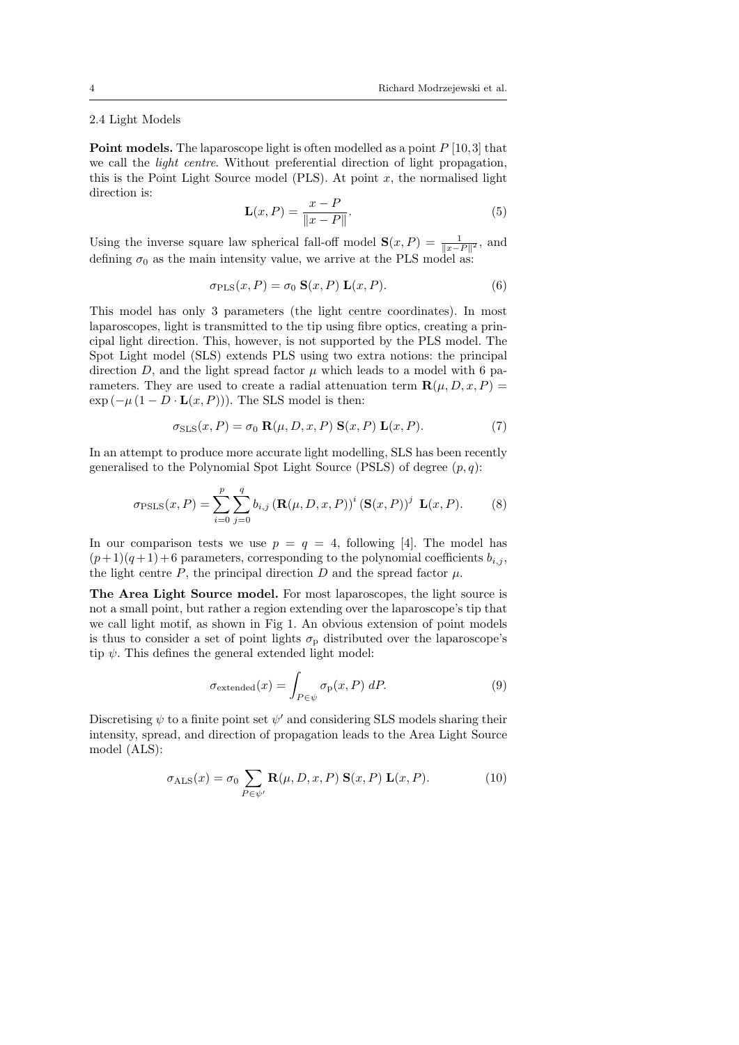# 2.4 Light Models

**Point models.** The laparoscope light is often modelled as a point  $P$  [10,3] that we call the *light centre*. Without preferential direction of light propagation, this is the Point Light Source model (PLS). At point  $x$ , the normalised light direction is:

$$
\mathbf{L}(x, P) = \frac{x - P}{\|x - P\|}.
$$
 (5)

Using the inverse square law spherical fall-off model  $\mathbf{S}(x, P) = \frac{1}{\|x-P\|^2}$ , and defining  $\sigma_0$  as the main intensity value, we arrive at the PLS model as:

$$
\sigma_{\rm PLS}(x, P) = \sigma_0 \mathbf{S}(x, P) \mathbf{L}(x, P). \tag{6}
$$

This model has only 3 parameters (the light centre coordinates). In most laparoscopes, light is transmitted to the tip using fibre optics, creating a principal light direction. This, however, is not supported by the PLS model. The Spot Light model (SLS) extends PLS using two extra notions: the principal direction D, and the light spread factor  $\mu$  which leads to a model with 6 parameters. They are used to create a radial attenuation term  $\mathbf{R}(\mu, D, x, P) =$  $\exp(-\mu(1-D\cdot L(x,P)))$ . The SLS model is then:

$$
\sigma_{\text{SLS}}(x, P) = \sigma_0 \mathbf{R}(\mu, D, x, P) \mathbf{S}(x, P) \mathbf{L}(x, P). \tag{7}
$$

In an attempt to produce more accurate light modelling, SLS has been recently generalised to the Polynomial Spot Light Source (PSLS) of degree  $(p, q)$ :

$$
\sigma_{\text{PSLS}}(x, P) = \sum_{i=0}^{p} \sum_{j=0}^{q} b_{i,j} (\mathbf{R}(\mu, D, x, P))^{i} (\mathbf{S}(x, P))^{j} \mathbf{L}(x, P).
$$
 (8)

In our comparison tests we use  $p = q = 4$ , following [4]. The model has  $(p+1)(q+1)+6$  parameters, corresponding to the polynomial coefficients  $b_{i,j}$ , the light centre P, the principal direction D and the spread factor  $\mu$ .

The Area Light Source model. For most laparoscopes, the light source is not a small point, but rather a region extending over the laparoscope's tip that we call light motif, as shown in Fig 1. An obvious extension of point models is thus to consider a set of point lights  $\sigma_{\rm p}$  distributed over the laparoscope's tip  $\psi$ . This defines the general extended light model:

$$
\sigma_{\text{extended}}(x) = \int_{P \in \psi} \sigma_{\text{p}}(x, P) \, dP. \tag{9}
$$

Discretising  $\psi$  to a finite point set  $\psi'$  and considering SLS models sharing their intensity, spread, and direction of propagation leads to the Area Light Source model (ALS):

$$
\sigma_{\text{ALS}}(x) = \sigma_0 \sum_{P \in \psi'} \mathbf{R}(\mu, D, x, P) \mathbf{S}(x, P) \mathbf{L}(x, P). \tag{10}
$$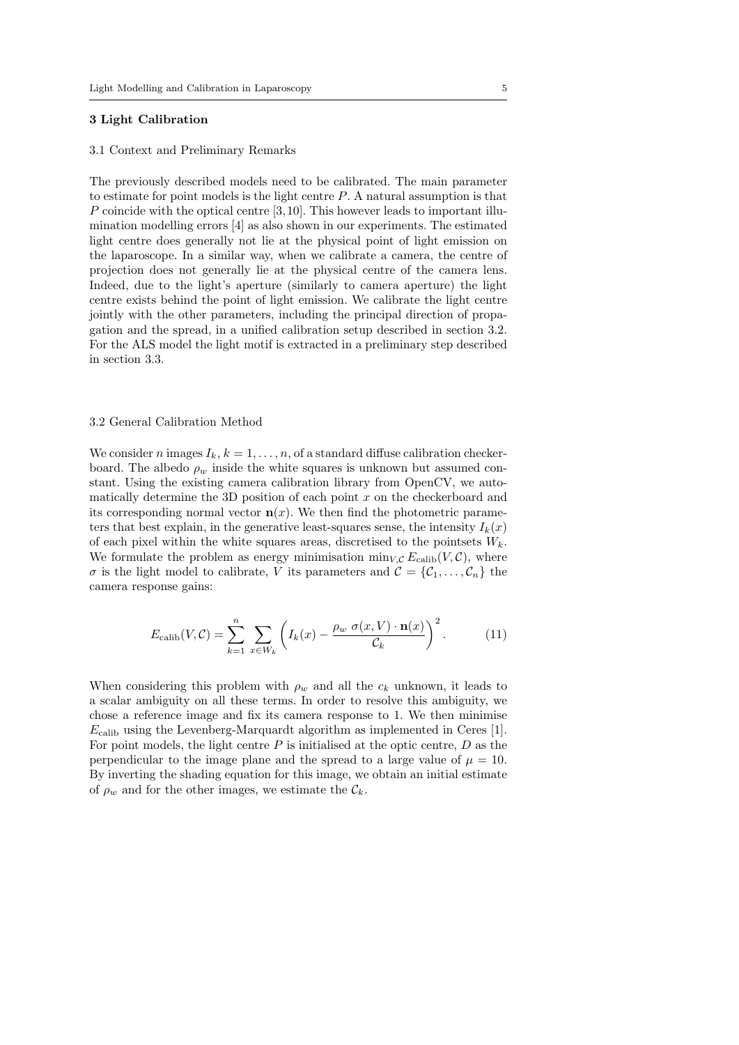## 3 Light Calibration

## 3.1 Context and Preliminary Remarks

The previously described models need to be calibrated. The main parameter to estimate for point models is the light centre  $P$ . A natural assumption is that P coincide with the optical centre  $[3, 10]$ . This however leads to important illumination modelling errors [4] as also shown in our experiments. The estimated light centre does generally not lie at the physical point of light emission on the laparoscope. In a similar way, when we calibrate a camera, the centre of projection does not generally lie at the physical centre of the camera lens. Indeed, due to the light's aperture (similarly to camera aperture) the light centre exists behind the point of light emission. We calibrate the light centre jointly with the other parameters, including the principal direction of propagation and the spread, in a unified calibration setup described in section 3.2. For the ALS model the light motif is extracted in a preliminary step described in section 3.3.

### 3.2 General Calibration Method

We consider n images  $I_k$ ,  $k = 1, \ldots, n$ , of a standard diffuse calibration checkerboard. The albedo  $\rho_w$  inside the white squares is unknown but assumed constant. Using the existing camera calibration library from OpenCV, we automatically determine the 3D position of each point  $x$  on the checkerboard and its corresponding normal vector  $\mathbf{n}(x)$ . We then find the photometric parameters that best explain, in the generative least-squares sense, the intensity  $I_k(x)$ of each pixel within the white squares areas, discretised to the pointsets  $W_k$ . We formulate the problem as energy minimisation  $\min_{V,C} E_{\text{calib}}(V, C)$ , where  $\sigma$  is the light model to calibrate, V its parameters and  $\mathcal{C} = {\mathcal{C}_1, \ldots, \mathcal{C}_n}$  the camera response gains:

$$
E_{\text{calib}}(V,\mathcal{C}) = \sum_{k=1}^{n} \sum_{x \in W_k} \left( I_k(x) - \frac{\rho_w \sigma(x, V) \cdot \mathbf{n}(x)}{\mathcal{C}_k} \right)^2.
$$
 (11)

When considering this problem with  $\rho_w$  and all the  $c_k$  unknown, it leads to a scalar ambiguity on all these terms. In order to resolve this ambiguity, we chose a reference image and fix its camera response to 1. We then minimise  $E_{\text{calib}}$  using the Levenberg-Marquardt algorithm as implemented in Ceres [1]. For point models, the light centre  $P$  is initialised at the optic centre,  $D$  as the perpendicular to the image plane and the spread to a large value of  $\mu = 10$ . By inverting the shading equation for this image, we obtain an initial estimate of  $\rho_w$  and for the other images, we estimate the  $\mathcal{C}_k$ .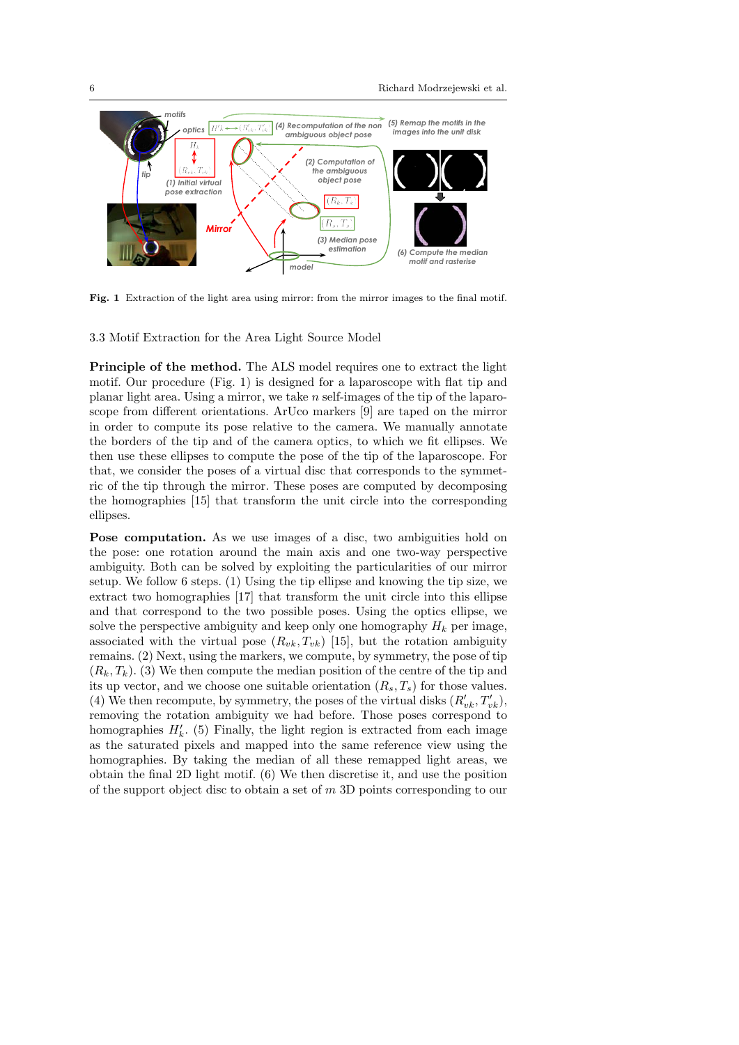

Fig. 1 Extraction of the light area using mirror: from the mirror images to the final motif.

3.3 Motif Extraction for the Area Light Source Model

Principle of the method. The ALS model requires one to extract the light motif. Our procedure (Fig. 1) is designed for a laparoscope with flat tip and planar light area. Using a mirror, we take n self-images of the tip of the laparoscope from different orientations. ArUco markers [9] are taped on the mirror in order to compute its pose relative to the camera. We manually annotate the borders of the tip and of the camera optics, to which we fit ellipses. We then use these ellipses to compute the pose of the tip of the laparoscope. For that, we consider the poses of a virtual disc that corresponds to the symmetric of the tip through the mirror. These poses are computed by decomposing the homographies [15] that transform the unit circle into the corresponding ellipses.

Pose computation. As we use images of a disc, two ambiguities hold on the pose: one rotation around the main axis and one two-way perspective ambiguity. Both can be solved by exploiting the particularities of our mirror setup. We follow 6 steps. (1) Using the tip ellipse and knowing the tip size, we extract two homographies [17] that transform the unit circle into this ellipse and that correspond to the two possible poses. Using the optics ellipse, we solve the perspective ambiguity and keep only one homography  $H_k$  per image, associated with the virtual pose  $(R_{vk}, T_{vk})$  [15], but the rotation ambiguity remains. (2) Next, using the markers, we compute, by symmetry, the pose of tip  $(R_k, T_k)$ . (3) We then compute the median position of the centre of the tip and its up vector, and we choose one suitable orientation  $(R_s, T_s)$  for those values. (4) We then recompute, by symmetry, the poses of the virtual disks  $(R'_{vk}, T'_{vk}),$ removing the rotation ambiguity we had before. Those poses correspond to homographies  $H'_{k}$ . (5) Finally, the light region is extracted from each image as the saturated pixels and mapped into the same reference view using the homographies. By taking the median of all these remapped light areas, we obtain the final 2D light motif. (6) We then discretise it, and use the position of the support object disc to obtain a set of  $m$  3D points corresponding to our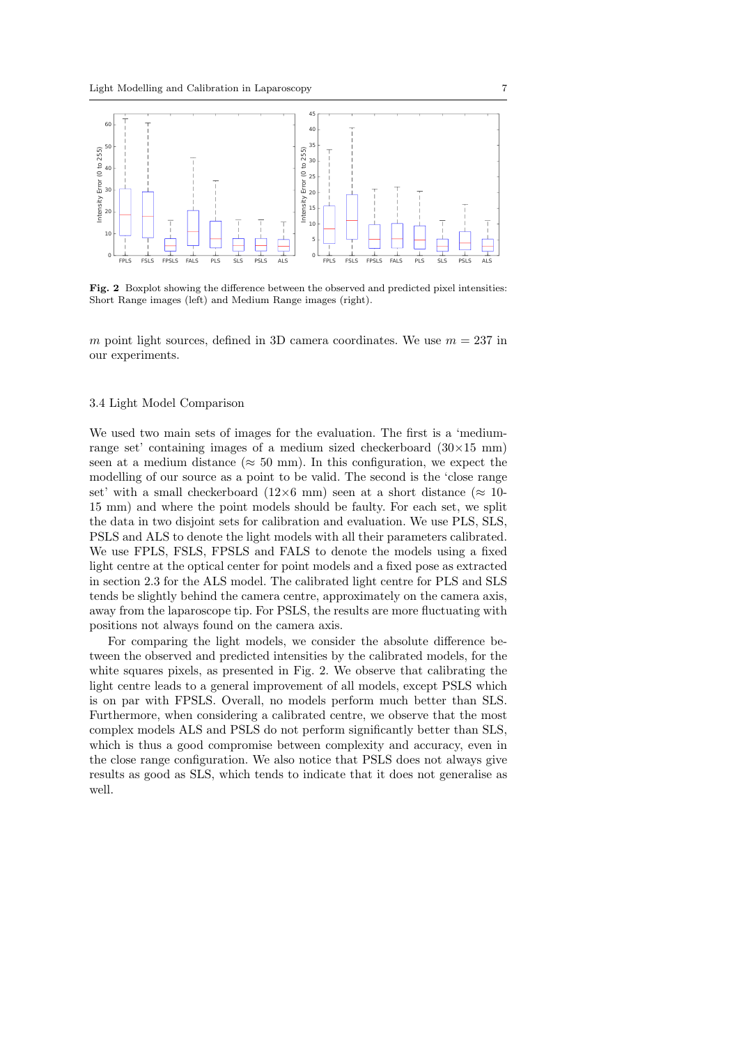

Fig. 2 Boxplot showing the difference between the observed and predicted pixel intensities: Short Range images (left) and Medium Range images (right).

m point light sources, defined in 3D camera coordinates. We use  $m = 237$  in our experiments.

## 3.4 Light Model Comparison

We used two main sets of images for the evaluation. The first is a 'mediumrange set' containing images of a medium sized checkerboard  $(30\times15 \text{ mm})$ seen at a medium distance ( $\approx$  50 mm). In this configuration, we expect the modelling of our source as a point to be valid. The second is the 'close range set' with a small checkerboard (12×6 mm) seen at a short distance ( $\approx$  10-15 mm) and where the point models should be faulty. For each set, we split the data in two disjoint sets for calibration and evaluation. We use PLS, SLS, PSLS and ALS to denote the light models with all their parameters calibrated. We use FPLS, FSLS, FPSLS and FALS to denote the models using a fixed light centre at the optical center for point models and a fixed pose as extracted in section 2.3 for the ALS model. The calibrated light centre for PLS and SLS tends be slightly behind the camera centre, approximately on the camera axis, away from the laparoscope tip. For PSLS, the results are more fluctuating with positions not always found on the camera axis.

For comparing the light models, we consider the absolute difference between the observed and predicted intensities by the calibrated models, for the white squares pixels, as presented in Fig. 2. We observe that calibrating the light centre leads to a general improvement of all models, except PSLS which is on par with FPSLS. Overall, no models perform much better than SLS. Furthermore, when considering a calibrated centre, we observe that the most complex models ALS and PSLS do not perform significantly better than SLS, which is thus a good compromise between complexity and accuracy, even in the close range configuration. We also notice that PSLS does not always give results as good as SLS, which tends to indicate that it does not generalise as well.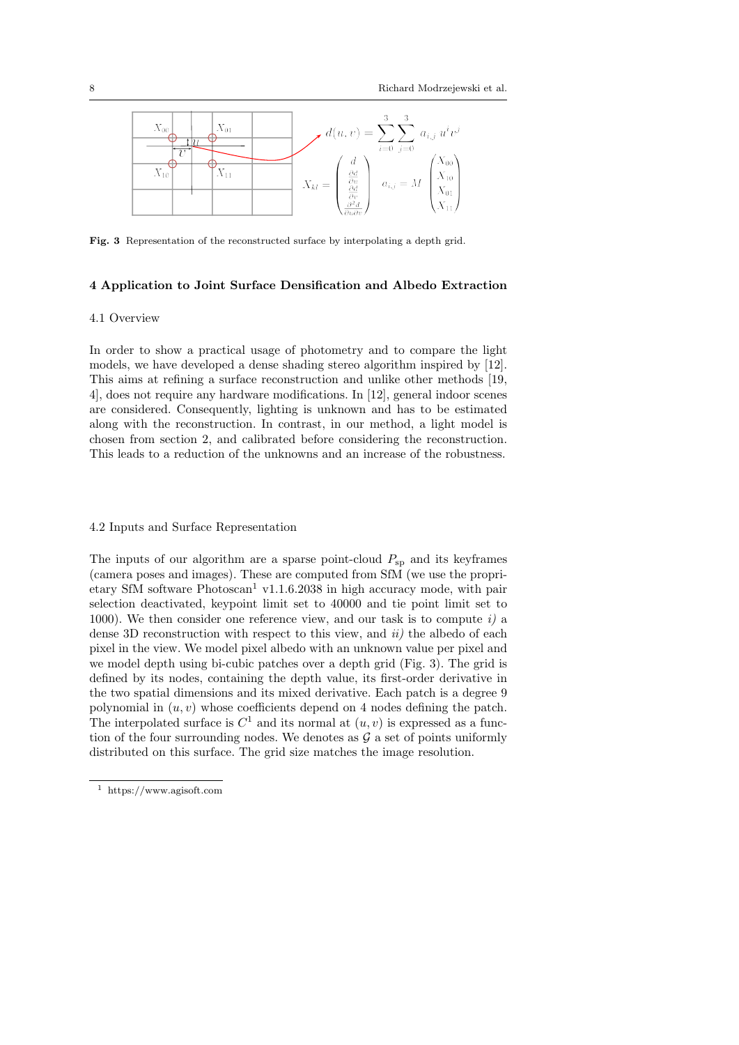

Fig. 3 Representation of the reconstructed surface by interpolating a depth grid.

# 4 Application to Joint Surface Densification and Albedo Extraction

# 4.1 Overview

In order to show a practical usage of photometry and to compare the light models, we have developed a dense shading stereo algorithm inspired by [12]. This aims at refining a surface reconstruction and unlike other methods [19, 4], does not require any hardware modifications. In [12], general indoor scenes are considered. Consequently, lighting is unknown and has to be estimated along with the reconstruction. In contrast, in our method, a light model is chosen from section 2, and calibrated before considering the reconstruction. This leads to a reduction of the unknowns and an increase of the robustness.

## 4.2 Inputs and Surface Representation

The inputs of our algorithm are a sparse point-cloud  $P_{\rm sp}$  and its keyframes (camera poses and images). These are computed from SfM (we use the proprietary SfM software Photoscan<sup>1</sup> v1.1.6.2038 in high accuracy mode, with pair selection deactivated, keypoint limit set to 40000 and tie point limit set to 1000). We then consider one reference view, and our task is to compute  $i$  a dense 3D reconstruction with respect to this view, and  $ii$  the albedo of each pixel in the view. We model pixel albedo with an unknown value per pixel and we model depth using bi-cubic patches over a depth grid (Fig. 3). The grid is defined by its nodes, containing the depth value, its first-order derivative in the two spatial dimensions and its mixed derivative. Each patch is a degree 9 polynomial in  $(u, v)$  whose coefficients depend on 4 nodes defining the patch. The interpolated surface is  $C^1$  and its normal at  $(u, v)$  is expressed as a function of the four surrounding nodes. We denotes as  $\mathcal G$  a set of points uniformly distributed on this surface. The grid size matches the image resolution.

 $^{\rm 1}$ https://www.agisoft.com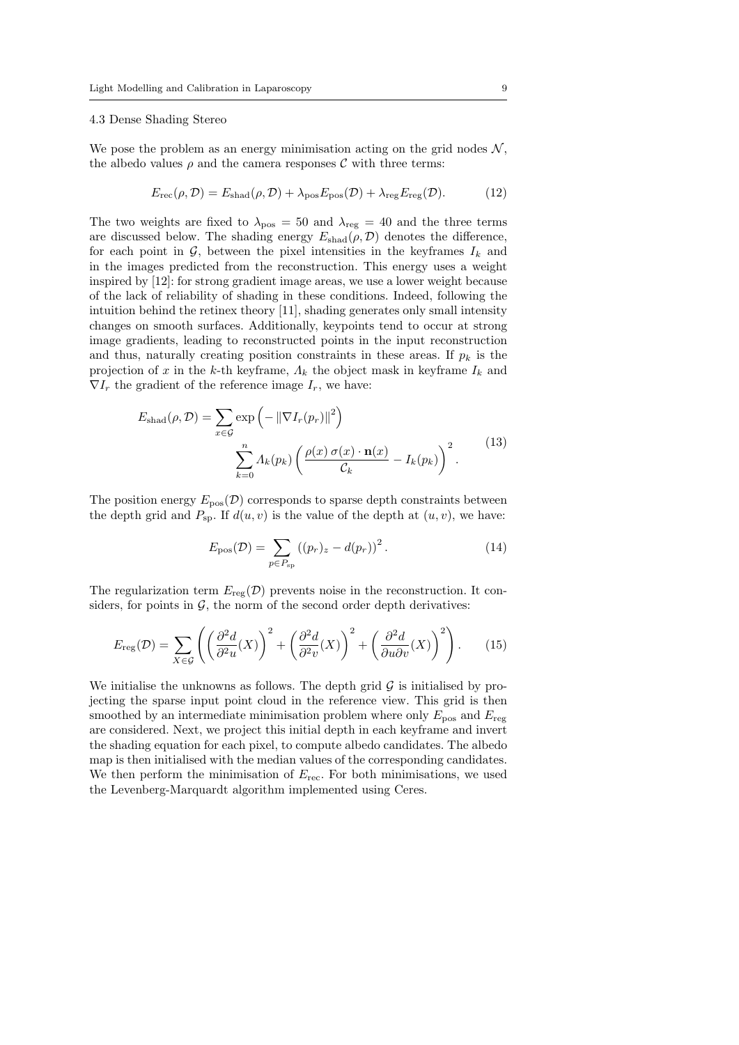### 4.3 Dense Shading Stereo

We pose the problem as an energy minimisation acting on the grid nodes  $\mathcal{N}$ , the albedo values  $\rho$  and the camera responses  $\mathcal C$  with three terms:

$$
E_{\rm rec}(\rho, \mathcal{D}) = E_{\rm shad}(\rho, \mathcal{D}) + \lambda_{\rm pos} E_{\rm pos}(\mathcal{D}) + \lambda_{\rm reg} E_{\rm reg}(\mathcal{D}). \tag{12}
$$

The two weights are fixed to  $\lambda_{\text{pos}} = 50$  and  $\lambda_{\text{reg}} = 40$  and the three terms are discussed below. The shading energy  $E_{\text{shad}}(\rho, \mathcal{D})$  denotes the difference, for each point in  $G$ , between the pixel intensities in the keyframes  $I_k$  and in the images predicted from the reconstruction. This energy uses a weight inspired by [12]: for strong gradient image areas, we use a lower weight because of the lack of reliability of shading in these conditions. Indeed, following the intuition behind the retinex theory [11], shading generates only small intensity changes on smooth surfaces. Additionally, keypoints tend to occur at strong image gradients, leading to reconstructed points in the input reconstruction and thus, naturally creating position constraints in these areas. If  $p_k$  is the projection of x in the k-th keyframe,  $\Lambda_k$  the object mask in keyframe  $I_k$  and  $\nabla I_r$  the gradient of the reference image  $I_r$ , we have:

$$
E_{\text{shad}}(\rho, \mathcal{D}) = \sum_{x \in \mathcal{G}} \exp\left(-\|\nabla I_r(p_r)\|^2\right)
$$

$$
\sum_{k=0}^n \Lambda_k(p_k) \left(\frac{\rho(x) \sigma(x) \cdot \mathbf{n}(x)}{\mathcal{C}_k} - I_k(p_k)\right)^2.
$$
(13)

The position energy  $E_{\text{pos}}(\mathcal{D})$  corresponds to sparse depth constraints between the depth grid and  $P_{\rm sp}$ . If  $d(u, v)$  is the value of the depth at  $(u, v)$ , we have:

$$
E_{\text{pos}}(\mathcal{D}) = \sum_{p \in P_{\text{sp}}} \left( (p_r)_z - d(p_r) \right)^2. \tag{14}
$$

The regularization term  $E_{reg}(\mathcal{D})$  prevents noise in the reconstruction. It considers, for points in  $\mathcal{G}$ , the norm of the second order depth derivatives:

$$
E_{\text{reg}}(\mathcal{D}) = \sum_{X \in \mathcal{G}} \left( \left( \frac{\partial^2 d}{\partial^2 u}(X) \right)^2 + \left( \frac{\partial^2 d}{\partial^2 v}(X) \right)^2 + \left( \frac{\partial^2 d}{\partial u \partial v}(X) \right)^2 \right). \tag{15}
$$

We initialise the unknowns as follows. The depth grid  $\mathcal G$  is initialised by projecting the sparse input point cloud in the reference view. This grid is then smoothed by an intermediate minimisation problem where only  $E_{\text{pos}}$  and  $E_{\text{reg}}$ are considered. Next, we project this initial depth in each keyframe and invert the shading equation for each pixel, to compute albedo candidates. The albedo map is then initialised with the median values of the corresponding candidates. We then perform the minimisation of  $E_{\text{rec}}$ . For both minimisations, we used the Levenberg-Marquardt algorithm implemented using Ceres.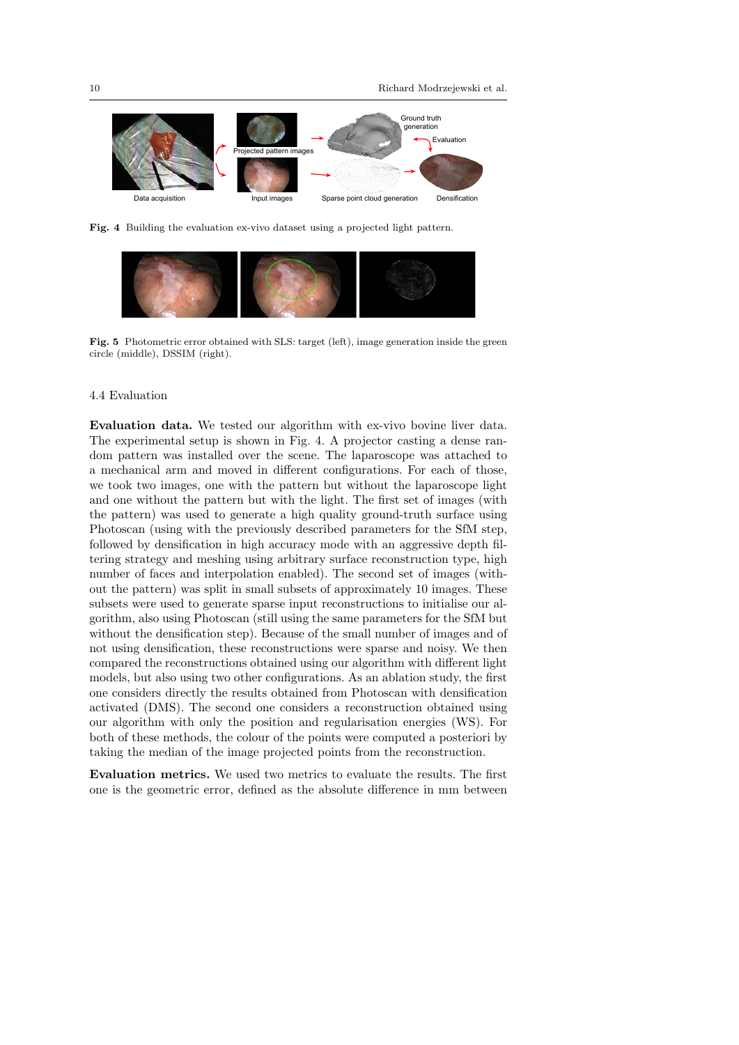

Fig. 4 Building the evaluation ex-vivo dataset using a projected light pattern.



Fig. 5 Photometric error obtained with SLS: target (left), image generation inside the green circle (middle), DSSIM (right).

#### 4.4 Evaluation

Evaluation data. We tested our algorithm with ex-vivo bovine liver data. The experimental setup is shown in Fig. 4. A projector casting a dense random pattern was installed over the scene. The laparoscope was attached to a mechanical arm and moved in different configurations. For each of those, we took two images, one with the pattern but without the laparoscope light and one without the pattern but with the light. The first set of images (with the pattern) was used to generate a high quality ground-truth surface using Photoscan (using with the previously described parameters for the SfM step, followed by densification in high accuracy mode with an aggressive depth filtering strategy and meshing using arbitrary surface reconstruction type, high number of faces and interpolation enabled). The second set of images (without the pattern) was split in small subsets of approximately 10 images. These subsets were used to generate sparse input reconstructions to initialise our algorithm, also using Photoscan (still using the same parameters for the SfM but without the densification step). Because of the small number of images and of not using densification, these reconstructions were sparse and noisy. We then compared the reconstructions obtained using our algorithm with different light models, but also using two other configurations. As an ablation study, the first one considers directly the results obtained from Photoscan with densification activated (DMS). The second one considers a reconstruction obtained using our algorithm with only the position and regularisation energies (WS). For both of these methods, the colour of the points were computed a posteriori by taking the median of the image projected points from the reconstruction.

Evaluation metrics. We used two metrics to evaluate the results. The first one is the geometric error, defined as the absolute difference in mm between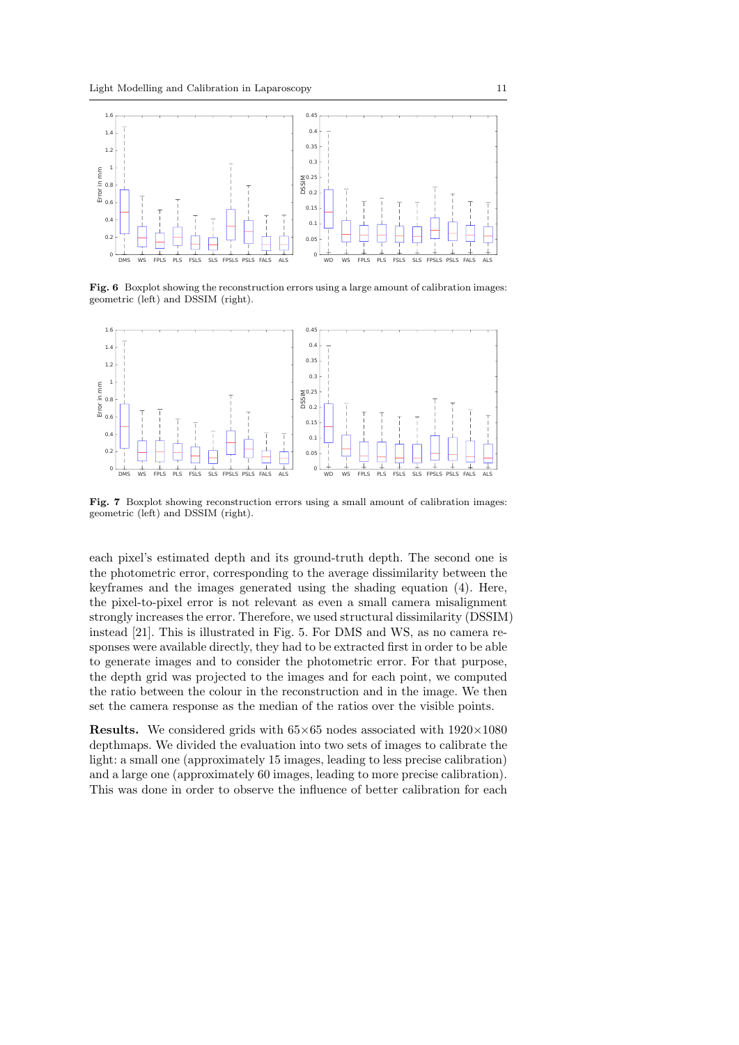

Fig. 6 Boxplot showing the reconstruction errors using a large amount of calibration images: geometric (left) and DSSIM (right).



Fig. 7 Boxplot showing reconstruction errors using a small amount of calibration images: geometric (left) and DSSIM (right).

each pixel's estimated depth and its ground-truth depth. The second one is the photometric error, corresponding to the average dissimilarity between the keyframes and the images generated using the shading equation (4). Here, the pixel-to-pixel error is not relevant as even a small camera misalignment strongly increases the error. Therefore, we used structural dissimilarity (DSSIM) instead [21]. This is illustrated in Fig. 5. For DMS and WS, as no camera responses were available directly, they had to be extracted first in order to be able to generate images and to consider the photometric error. For that purpose, the depth grid was projected to the images and for each point, we computed the ratio between the colour in the reconstruction and in the image. We then set the camera response as the median of the ratios over the visible points.

**Results.** We considered grids with  $65\times65$  nodes associated with  $1920\times1080$ depthmaps. We divided the evaluation into two sets of images to calibrate the light: a small one (approximately 15 images, leading to less precise calibration) and a large one (approximately 60 images, leading to more precise calibration). This was done in order to observe the influence of better calibration for each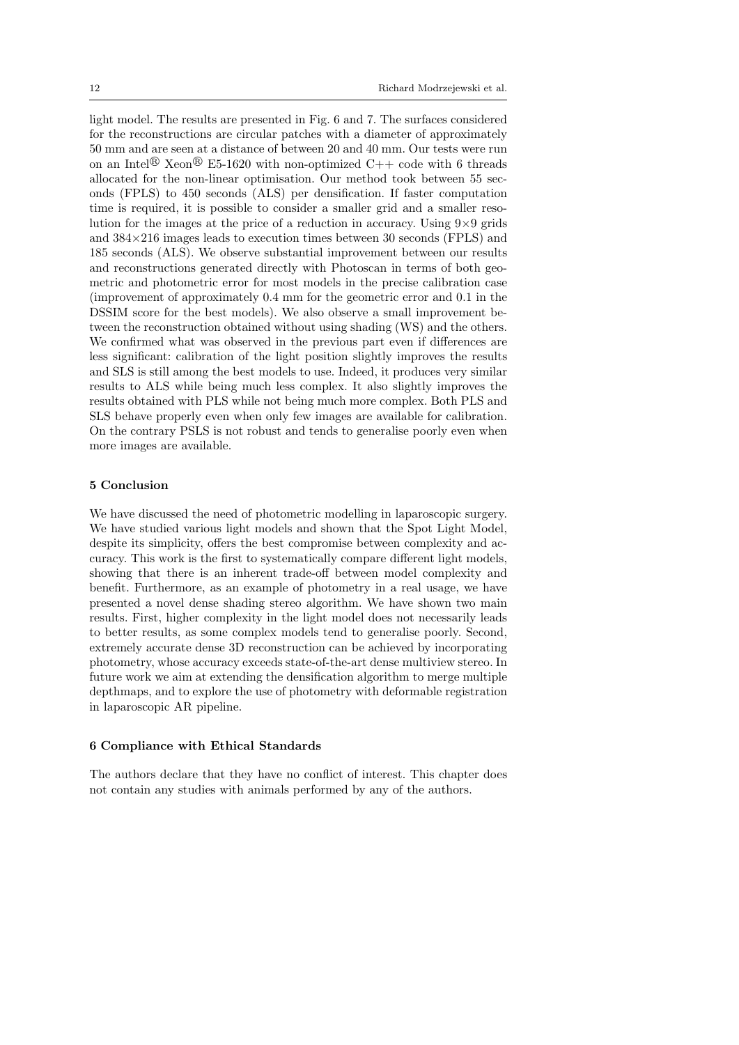light model. The results are presented in Fig. 6 and 7. The surfaces considered for the reconstructions are circular patches with a diameter of approximately 50 mm and are seen at a distance of between 20 and 40 mm. Our tests were run on an Intel<sup>®</sup> Xeon<sup>®</sup> E5-1620 with non-optimized C++ code with 6 threads allocated for the non-linear optimisation. Our method took between 55 seconds (FPLS) to 450 seconds (ALS) per densification. If faster computation time is required, it is possible to consider a smaller grid and a smaller resolution for the images at the price of a reduction in accuracy. Using  $9 \times 9$  grids and 384×216 images leads to execution times between 30 seconds (FPLS) and 185 seconds (ALS). We observe substantial improvement between our results and reconstructions generated directly with Photoscan in terms of both geometric and photometric error for most models in the precise calibration case (improvement of approximately 0.4 mm for the geometric error and 0.1 in the DSSIM score for the best models). We also observe a small improvement between the reconstruction obtained without using shading (WS) and the others. We confirmed what was observed in the previous part even if differences are less significant: calibration of the light position slightly improves the results and SLS is still among the best models to use. Indeed, it produces very similar results to ALS while being much less complex. It also slightly improves the results obtained with PLS while not being much more complex. Both PLS and SLS behave properly even when only few images are available for calibration. On the contrary PSLS is not robust and tends to generalise poorly even when more images are available.

## 5 Conclusion

We have discussed the need of photometric modelling in laparoscopic surgery. We have studied various light models and shown that the Spot Light Model, despite its simplicity, offers the best compromise between complexity and accuracy. This work is the first to systematically compare different light models, showing that there is an inherent trade-off between model complexity and benefit. Furthermore, as an example of photometry in a real usage, we have presented a novel dense shading stereo algorithm. We have shown two main results. First, higher complexity in the light model does not necessarily leads to better results, as some complex models tend to generalise poorly. Second, extremely accurate dense 3D reconstruction can be achieved by incorporating photometry, whose accuracy exceeds state-of-the-art dense multiview stereo. In future work we aim at extending the densification algorithm to merge multiple depthmaps, and to explore the use of photometry with deformable registration in laparoscopic AR pipeline.

#### 6 Compliance with Ethical Standards

The authors declare that they have no conflict of interest. This chapter does not contain any studies with animals performed by any of the authors.